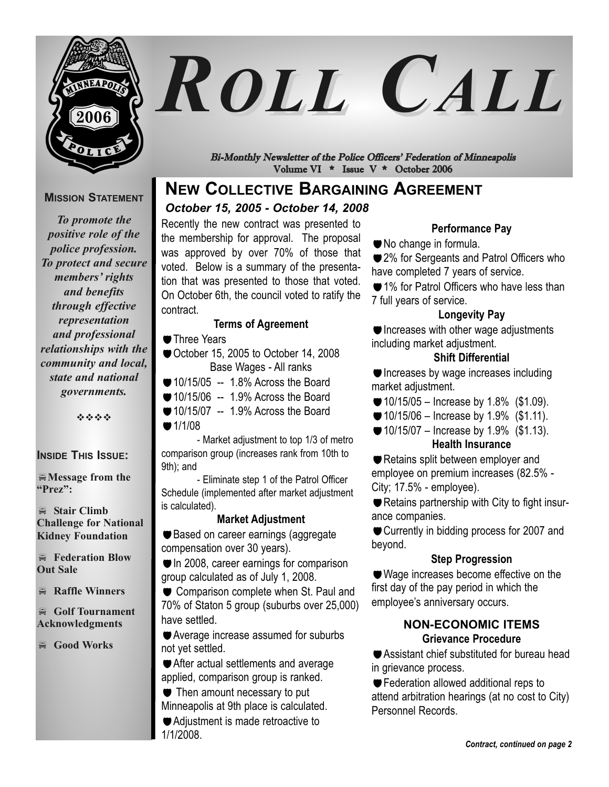

**MISSION STATEMENT**

*To promote the* 

# *ROLL CALL*

Bi-Monthly Newsletter of the Police Officers' Federation of Minneapolis Volume VI \* Issue V \* October 2006

## **NEW COLLECTIVE BARGAINING AGREEMENT**

#### *October 15, 2005 - October 14, 2008*

Recently the new contract was presented to the membership for approval. The proposal was approved by over 70% of those that voted. Below is a summary of the presentation that was presented to those that voted. On October 6th, the council voted to ratify the contract.

#### **Terms of Agreement**

- **Three Years**
- October 15, 2005 to October 14, 2008 Base Wages - All ranks
- $\bullet$  10/15/05 -- 1.8% Across the Board
- $\bullet$  10/15/06 -- 1.9% Across the Board
- 10/15/07 -- 1.9% Across the Board  $1/1/08$

- Market adjustment to top 1/3 of metro comparison group (increases rank from 10th to 9th); and

- Eliminate step 1 of the Patrol Officer Schedule (implemented after market adjustment is calculated).

#### **Market Adjustment**

● Based on career earnings (aggregate compensation over 30 years).

In 2008, career earnings for comparison group calculated as of July 1, 2008.

Comparison complete when St. Paul and 70% of Staton 5 group (suburbs over 25,000) have settled.

Average increase assumed for suburbs not yet settled.

After actual settlements and average applied, comparison group is ranked.

 $\bullet$  Then amount necessary to put Minneapolis at 9th place is calculated. Adjustment is made retroactive to 1/1/2008.

#### **Performance Pay**

No change in formula.

**■ 2% for Sergeants and Patrol Officers who** have completed 7 years of service.

**■1% for Patrol Officers who have less than** 7 full years of service.

#### **Longevity Pay**

Increases with other wage adjustments including market adjustment.

#### **Shift Differential**

Increases by wage increases including market adjustment.

 $\bullet$  10/15/05 – Increase by 1.8% (\$1.09).

- $\bullet$  10/15/06 Increase by 1.9% (\$1.11).
- $\bullet$  10/15/07 Increase by 1.9% (\$1.13). **Health Insurance**

Retains split between employer and employee on premium increases (82.5% - City; 17.5% - employee).

Retains partnership with City to fight insurance companies.

Currently in bidding process for 2007 and beyond.

#### **Step Progression**

Wage increases become effective on the first day of the pay period in which the employee's anniversary occurs.

#### **NON-ECONOMIC ITEMS Grievance Procedure**

Assistant chief substituted for bureau head in grievance process.

**Federation allowed additional reps to** attend arbitration hearings (at no cost to City) Personnel Records.

*positive role of the police profession. To protect and secure members' rights and benefits through effective representation and professional relationships with the community and local, state and national* 

----

*governments.* 

#### **INSIDE THIS ISSUE:**

 $M$ essage from the **"Prez":** 

- **Stair Climb Challenge for National Kidney Foundation**

- **Federation Blow Out Sale**

- **Raffle Winners** 

- **Golf Tournament Acknowledgments** 

- **Good Works**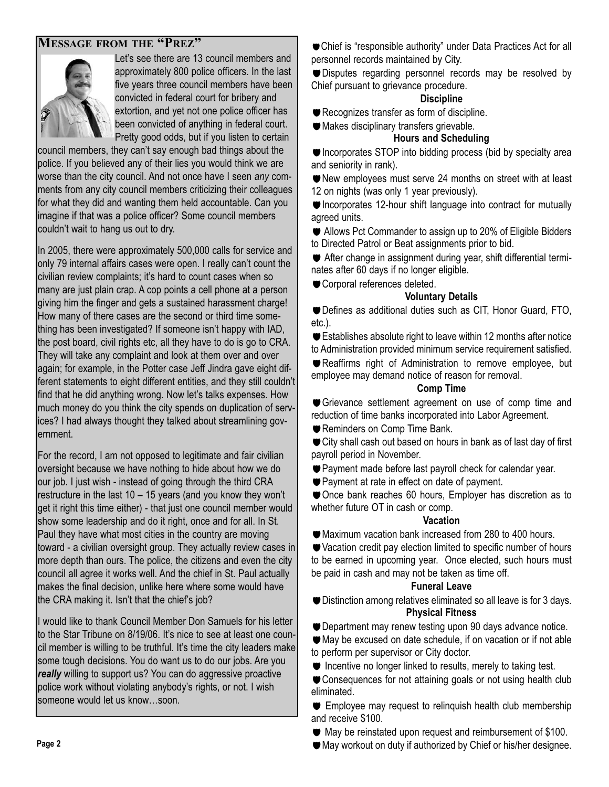#### **MESSAGE FROM THE "PREZ"**



Let's see there are 13 council members and approximately 800 police officers. In the last five years three council members have been convicted in federal court for bribery and extortion, and yet not one police officer has been convicted of anything in federal court. Pretty good odds, but if you listen to certain

council members, they can't say enough bad things about the police. If you believed any of their lies you would think we are worse than the city council. And not once have I seen *any* comments from any city council members criticizing their colleagues for what they did and wanting them held accountable. Can you imagine if that was a police officer? Some council members couldn't wait to hang us out to dry.

In 2005, there were approximately 500,000 calls for service and only 79 internal affairs cases were open. I really can't count the civilian review complaints; it's hard to count cases when so many are just plain crap. A cop points a cell phone at a person giving him the finger and gets a sustained harassment charge! How many of there cases are the second or third time something has been investigated? If someone isn't happy with IAD, the post board, civil rights etc, all they have to do is go to CRA. They will take any complaint and look at them over and over again; for example, in the Potter case Jeff Jindra gave eight different statements to eight different entities, and they still couldn't find that he did anything wrong. Now let's talks expenses. How much money do you think the city spends on duplication of services? I had always thought they talked about streamlining government.

For the record, I am not opposed to legitimate and fair civilian oversight because we have nothing to hide about how we do our job. I just wish - instead of going through the third CRA restructure in the last 10 – 15 years (and you know they won't get it right this time either) - that just one council member would show some leadership and do it right, once and for all. In St. Paul they have what most cities in the country are moving toward - a civilian oversight group. They actually review cases in more depth than ours. The police, the citizens and even the city council all agree it works well. And the chief in St. Paul actually makes the final decision, unlike here where some would have the CRA making it. Isn't that the chief's job?

I would like to thank Council Member Don Samuels for his letter to the Star Tribune on 8/19/06. It's nice to see at least one council member is willing to be truthful. It's time the city leaders make some tough decisions. You do want us to do our jobs. Are you *really* willing to support us? You can do aggressive proactive police work without violating anybody's rights, or not. I wish someone would let us know…soon.

Chief is "responsible authority" under Data Practices Act for all personnel records maintained by City.

Disputes regarding personnel records may be resolved by Chief pursuant to grievance procedure.

#### **Discipline**

Recognizes transfer as form of discipline.

Makes disciplinary transfers grievable.

#### **Hours and Scheduling**

 $\bullet$  Incorporates STOP into bidding process (bid by specialty area and seniority in rank).

New employees must serve 24 months on street with at least 12 on nights (was only 1 year previously).

■ Incorporates 12-hour shift language into contract for mutually agreed units.

**■** Allows Pct Commander to assign up to 20% of Eligible Bidders to Directed Patrol or Beat assignments prior to bid.

 After change in assignment during year, shift differential terminates after 60 days if no longer eligible.

Corporal references deleted.

#### **Voluntary Details**

Defines as additional duties such as CIT, Honor Guard, FTO, etc.).

Establishes absolute right to leave within 12 months after notice to Administration provided minimum service requirement satisfied.

Reaffirms right of Administration to remove employee, but employee may demand notice of reason for removal.

#### **Comp Time**

Grievance settlement agreement on use of comp time and reduction of time banks incorporated into Labor Agreement.

Reminders on Comp Time Bank.

City shall cash out based on hours in bank as of last day of first payroll period in November.

Payment made before last payroll check for calendar year.

Payment at rate in effect on date of payment.

Once bank reaches 60 hours, Employer has discretion as to whether future OT in cash or comp.

#### **Vacation**

Maximum vacation bank increased from 280 to 400 hours.

Vacation credit pay election limited to specific number of hours to be earned in upcoming year. Once elected, such hours must be paid in cash and may not be taken as time off.

#### **Funeral Leave**

Distinction among relatives eliminated so all leave is for 3 days. **Physical Fitness**

Department may renew testing upon 90 days advance notice.

May be excused on date schedule, if on vacation or if not able to perform per supervisor or City doctor.

 $\bullet$  Incentive no longer linked to results, merely to taking test.

Consequences for not attaining goals or not using health club eliminated.

**Employee may request to relinquish health club membership** and receive \$100.

 $\bullet$  May be reinstated upon request and reimbursement of \$100.

May workout on duty if authorized by Chief or his/her designee.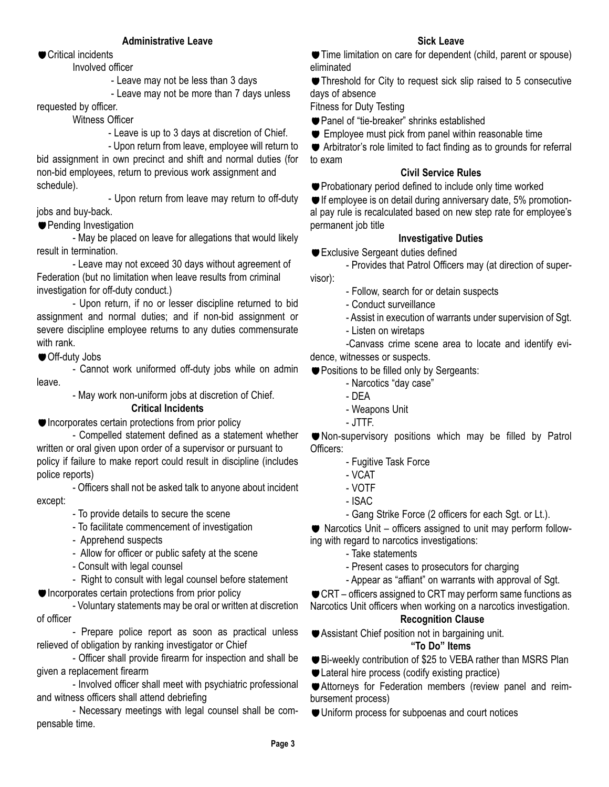#### **Administrative Leave**

■ Critical incidents

#### Involved officer

- Leave may not be less than 3 days

- Leave may not be more than 7 days unless requested by officer.

#### Witness Officer

- Leave is up to 3 days at discretion of Chief.

- Upon return from leave, employee will return to bid assignment in own precinct and shift and normal duties (for non-bid employees, return to previous work assignment and schedule).

- Upon return from leave may return to off-duty jobs and buy-back.

**Pending Investigation** 

- May be placed on leave for allegations that would likely result in termination.

- Leave may not exceed 30 days without agreement of Federation (but no limitation when leave results from criminal investigation for off-duty conduct.)

- Upon return, if no or lesser discipline returned to bid assignment and normal duties; and if non-bid assignment or severe discipline employee returns to any duties commensurate with rank.

Off-duty Jobs

- Cannot work uniformed off-duty jobs while on admin leave.

- May work non-uniform jobs at discretion of Chief.

#### **Critical Incidents**

● Incorporates certain protections from prior policy

- Compelled statement defined as a statement whether written or oral given upon order of a supervisor or pursuant to policy if failure to make report could result in discipline (includes police reports)

- Officers shall not be asked talk to anyone about incident except:

- To provide details to secure the scene

- To facilitate commencement of investigation
- Apprehend suspects
- Allow for officer or public safety at the scene
- Consult with legal counsel

- Right to consult with legal counsel before statement

 $\bullet$  Incorporates certain protections from prior policy

- Voluntary statements may be oral or written at discretion of officer

- Prepare police report as soon as practical unless relieved of obligation by ranking investigator or Chief

- Officer shall provide firearm for inspection and shall be given a replacement firearm

- Involved officer shall meet with psychiatric professional and witness officers shall attend debriefing

- Necessary meetings with legal counsel shall be compensable time.

#### **Sick Leave**

**Time limitation on care for dependent (child, parent or spouse)** eliminated

Threshold for City to request sick slip raised to 5 consecutive days of absence

Fitness for Duty Testing

- Panel of "tie-breaker" shrinks established
- Employee must pick from panel within reasonable time

 Arbitrator's role limited to fact finding as to grounds for referral to exam

#### **Civil Service Rules**

**Probationary period defined to include only time worked** 

If employee is on detail during anniversary date, 5% promotional pay rule is recalculated based on new step rate for employee's permanent job title

#### **Investigative Duties**

Exclusive Sergeant duties defined

- Provides that Patrol Officers may (at direction of super-

visor):

- Follow, search for or detain suspects
- Conduct surveillance
- Assist in execution of warrants under supervision of Sgt.
- Listen on wiretaps

-Canvass crime scene area to locate and identify evidence, witnesses or suspects.

**Positions to be filled only by Sergeants:** 

- Narcotics "day case"
- DEA
- Weapons Unit
- JTTF.

Non-supervisory positions which may be filled by Patrol Officers:

- Fugitive Task Force
- VCAT
- VOTF
- ISAC
- Gang Strike Force (2 officers for each Sgt. or Lt.).

Narcotics Unit – officers assigned to unit may perform follow-

- ing with regard to narcotics investigations:
	- Take statements
	- Present cases to prosecutors for charging
	- Appear as "affiant" on warrants with approval of Sgt.

CRT – officers assigned to CRT may perform same functions as

Narcotics Unit officers when working on a narcotics investigation. **Recognition Clause**

Assistant Chief position not in bargaining unit.

#### **"To Do" Items**

- Bi-weekly contribution of \$25 to VEBA rather than MSRS Plan
- Lateral hire process (codify existing practice)

Attorneys for Federation members (review panel and reimbursement process)

Uniform process for subpoenas and court notices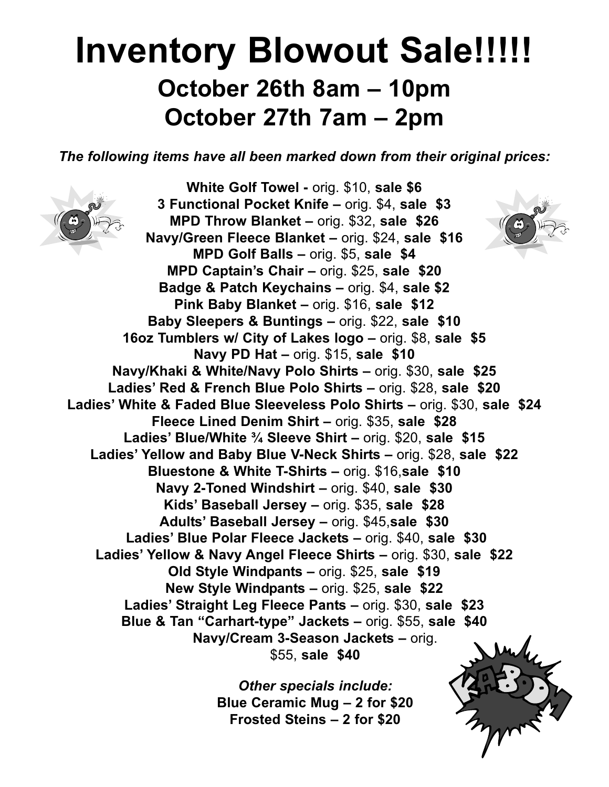# **Inventory Blowout Sale!!!!! October 26th 8am – 10pm October 27th 7am – 2pm**

*The following items have all been marked down from their original prices:*



*Other specials include:* **Blue Ceramic Mug – 2 for \$20 Frosted Steins – 2 for \$20**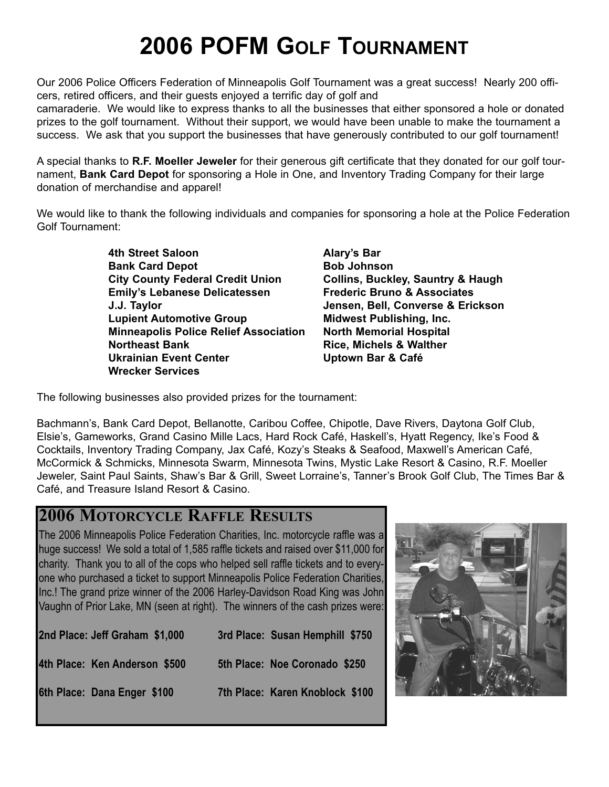# **2006 POFM GOLF TOURNAMENT**

Our 2006 Police Officers Federation of Minneapolis Golf Tournament was a great success! Nearly 200 officers, retired officers, and their guests enjoyed a terrific day of golf and

camaraderie. We would like to express thanks to all the businesses that either sponsored a hole or donated prizes to the golf tournament. Without their support, we would have been unable to make the tournament a success. We ask that you support the businesses that have generously contributed to our golf tournament!

A special thanks to **R.F. Moeller Jeweler** for their generous gift certificate that they donated for our golf tournament, **Bank Card Depot** for sponsoring a Hole in One, and Inventory Trading Company for their large donation of merchandise and apparel!

We would like to thank the following individuals and companies for sponsoring a hole at the Police Federation Golf Tournament:

> **4th Street Saloon Alary's Bar Bank Card Depot** Bob Johnson **City County Federal Credit Union Collins, Buckley, Sauntry & Haugh Emily's Lebanese Delicatessen Frederic Bruno & Associates J.J. Taylor Jensen, Bell, Converse & Erickson Lupient Automotive Group Midwest Publishing, Inc. Minneapolis Police Relief Association North Memorial Hospital Northeast Bank Communist Communist Pank Communist Pank Rice, Michels & Walther** Ukrainian Event Center **Network Contained Uptown Bar & Café Wrecker Services**

The following businesses also provided prizes for the tournament:

Bachmann's, Bank Card Depot, Bellanotte, Caribou Coffee, Chipotle, Dave Rivers, Daytona Golf Club, Elsie's, Gameworks, Grand Casino Mille Lacs, Hard Rock Café, Haskell's, Hyatt Regency, Ike's Food & Cocktails, Inventory Trading Company, Jax Café, Kozy's Steaks & Seafood, Maxwell's American Café, McCormick & Schmicks, Minnesota Swarm, Minnesota Twins, Mystic Lake Resort & Casino, R.F. Moeller Jeweler, Saint Paul Saints, Shaw's Bar & Grill, Sweet Lorraine's, Tanner's Brook Golf Club, The Times Bar & Café, and Treasure Island Resort & Casino.

## **2006 MOTORCYCLE RAFFLE RESULTS**

The 2006 Minneapolis Police Federation Charities, Inc. motorcycle raffle was a huge success! We sold a total of 1,585 raffle tickets and raised over \$11,000 for charity. Thank you to all of the cops who helped sell raffle tickets and to everyone who purchased a ticket to support Minneapolis Police Federation Charities, Inc.! The grand prize winner of the 2006 Harley-Davidson Road King was John Vaughn of Prior Lake, MN (seen at right). The winners of the cash prizes were:

| 2nd Place: Jeff Graham \$1,000 | 3rd Place: Susan Hemphill \$750 |
|--------------------------------|---------------------------------|
| 4th Place: Ken Anderson \$500  | 5th Place: Noe Coronado \$250   |
| 6th Place: Dana Enger \$100    | 7th Place: Karen Knoblock \$100 |